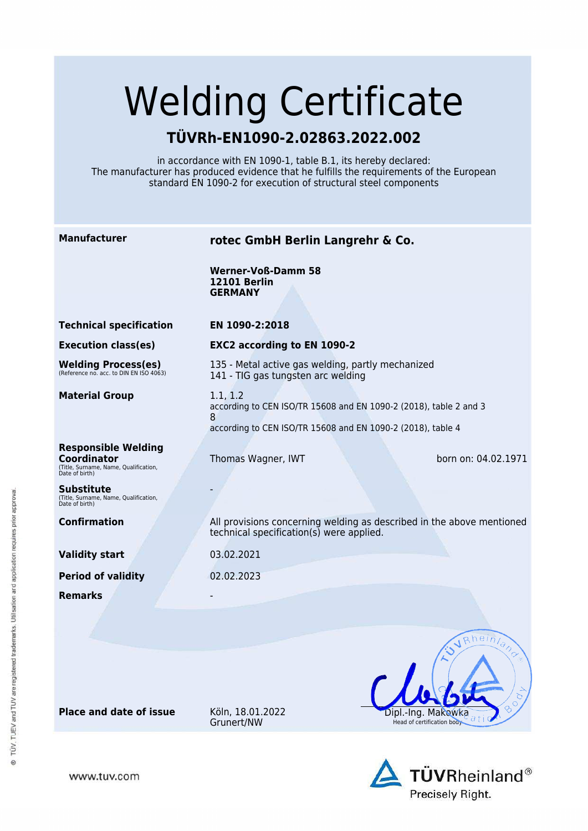# Welding Certificate

## **TÜVRh-EN1090-2.02863.2022.002**

in accordance with EN 1090-1, table B.1, its hereby declared: The manufacturer has produced evidence that he fulfills the requirements of the European standard EN 1090-2 for execution of structural steel components

**Manufacturer rotec GmbH Berlin Langrehr & Co. Werner-Voß-Damm 58 12101 Berlin GERMANY Technical specification EN 1090-2:2018 Execution class(es) EXC2 according to EN 1090-2** 135 - Metal active gas welding, partly mechanized **Welding Process(es)** (Reference no. acc. to DIN EN ISO 4063) 141 - TIG gas tungsten arc welding **Material Group** 1.1, 1.2 according to CEN ISO/TR 15608 and EN 1090-2 (2018), table 2 and 3 8 according to CEN ISO/TR 15608 and EN 1090-2 (2018), table 4 **Responsible Welding Coordinator** Thomas Wagner, IWT born on: 04.02.1971 (Title, Surname, Name, Qualification, Date of birth) **Substitute** - (Title, Surname, Name, Qualification, Date of birth) **Confirmation** All provisions concerning welding as described in the above mentioned technical specification(s) were applied. **Validity start** 03.02.2021 **Period of validity** 02.02.2023 **Remarks**  $ahein$ Dipl.-Ing. Makowka

**Place and date of issue** Köln, 18.01.2022

www.tuv.com

Grunert/NW



Head of certification body